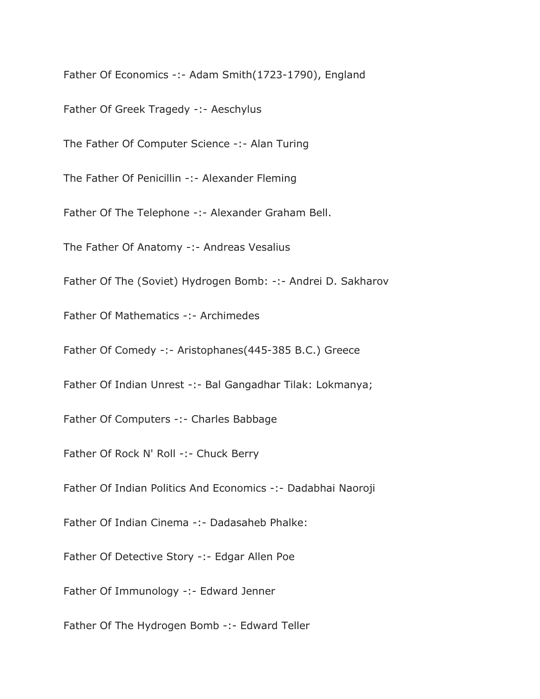Father Of Economics -:- Adam Smith(1723-1790), England

Father Of Greek Tragedy -:- Aeschylus

The Father Of Computer Science -:- Alan Turing

The Father Of Penicillin -:- Alexander Fleming

Father Of The Telephone -:- Alexander Graham Bell.

The Father Of Anatomy -:- Andreas Vesalius

Father Of The (Soviet) Hydrogen Bomb: -:- Andrei D. Sakharov

Father Of Mathematics -:- Archimedes

Father Of Comedy -:- Aristophanes(445-385 B.C.) Greece

Father Of Indian Unrest -:- Bal Gangadhar Tilak: Lokmanya;

Father Of Computers -:- Charles Babbage

Father Of Rock N' Roll -:- Chuck Berry

Father Of Indian Politics And Economics -:- Dadabhai Naoroji

Father Of Indian Cinema -:- Dadasaheb Phalke:

Father Of Detective Story -:- Edgar Allen Poe

Father Of Immunology -:- Edward Jenner

Father Of The Hydrogen Bomb -:- Edward Teller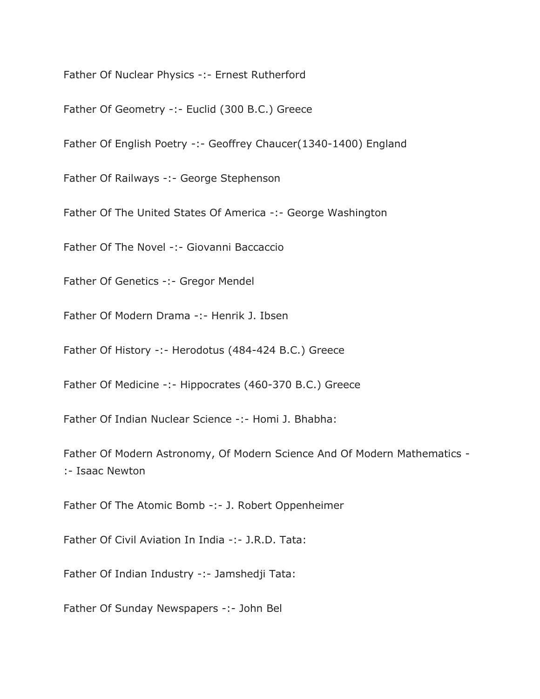Father Of Nuclear Physics -:- Ernest Rutherford

Father Of Geometry -:- Euclid (300 B.C.) Greece

Father Of English Poetry -:- Geoffrey Chaucer(1340-1400) England

Father Of Railways -:- George Stephenson

Father Of The United States Of America -:- George Washington

Father Of The Novel -:- Giovanni Baccaccio

Father Of Genetics -:- Gregor Mendel

Father Of Modern Drama -:- Henrik J. Ibsen

Father Of History -:- Herodotus (484-424 B.C.) Greece

Father Of Medicine -:- Hippocrates (460-370 B.C.) Greece

Father Of Indian Nuclear Science -:- Homi J. Bhabha:

Father Of Modern Astronomy, Of Modern Science And Of Modern Mathematics - :- Isaac Newton

Father Of The Atomic Bomb -:- J. Robert Oppenheimer

Father Of Civil Aviation In India -:- J.R.D. Tata:

Father Of Indian Industry -:- Jamshedji Tata:

Father Of Sunday Newspapers -:- John Bel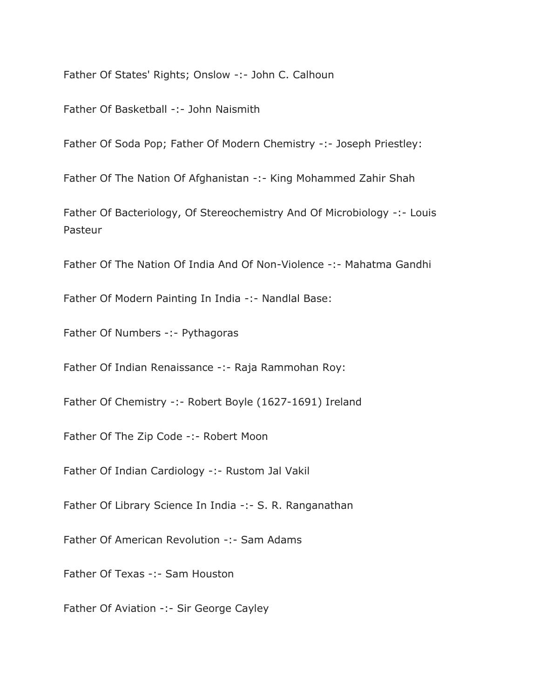Father Of States' Rights; Onslow -:- John C. Calhoun

Father Of Basketball -:- John Naismith

Father Of Soda Pop; Father Of Modern Chemistry -:- Joseph Priestley:

Father Of The Nation Of Afghanistan -:- King Mohammed Zahir Shah

Father Of Bacteriology, Of Stereochemistry And Of Microbiology -:- Louis Pasteur

Father Of The Nation Of India And Of Non-Violence -:- Mahatma Gandhi

Father Of Modern Painting In India -:- Nandlal Base:

Father Of Numbers -:- Pythagoras

Father Of Indian Renaissance -:- Raja Rammohan Roy:

Father Of Chemistry -:- Robert Boyle (1627-1691) Ireland

Father Of The Zip Code -:- Robert Moon

Father Of Indian Cardiology -:- Rustom Jal Vakil

Father Of Library Science In India -:- S. R. Ranganathan

Father Of American Revolution -:- Sam Adams

Father Of Texas -:- Sam Houston

Father Of Aviation -:- Sir George Cayley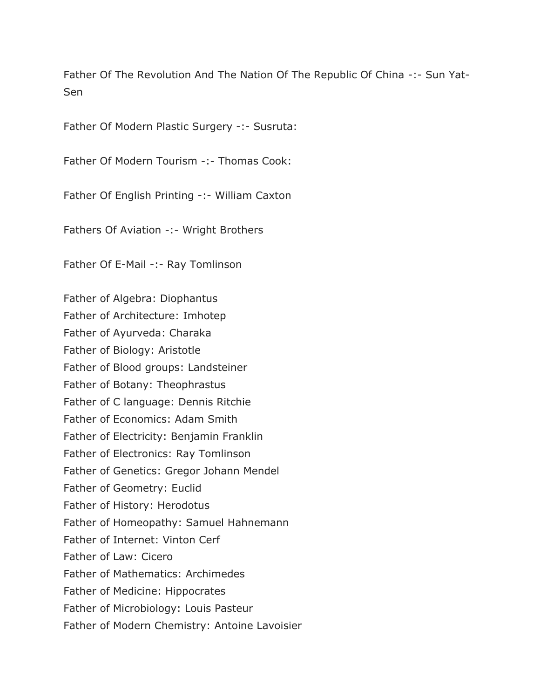Father Of The Revolution And The Nation Of The Republic Of China -:- Sun Yat-Sen

Father Of Modern Plastic Surgery -:- Susruta:

Father Of Modern Tourism -:- Thomas Cook:

Father Of English Printing -:- William Caxton

Fathers Of Aviation -:- Wright Brothers

Father Of E-Mail -:- Ray Tomlinson

Father of Algebra: Diophantus Father of Architecture: Imhotep Father of Ayurveda: Charaka Father of Biology: Aristotle Father of Blood groups: Landsteiner Father of Botany: Theophrastus Father of C language: Dennis Ritchie Father of Economics: Adam Smith Father of Electricity: Benjamin Franklin Father of Electronics: Ray Tomlinson Father of Genetics: Gregor Johann Mendel Father of Geometry: Euclid Father of History: Herodotus Father of Homeopathy: Samuel Hahnemann Father of Internet: Vinton Cerf Father of Law: Cicero Father of Mathematics: Archimedes Father of Medicine: Hippocrates Father of Microbiology: Louis Pasteur Father of Modern Chemistry: Antoine Lavoisier